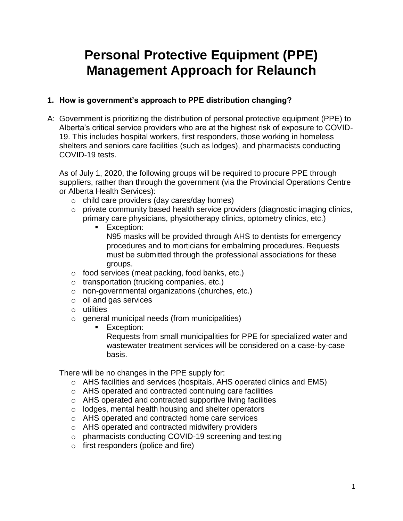# **Personal Protective Equipment (PPE) Management Approach for Relaunch**

# **1. How is government's approach to PPE distribution changing?**

A: Government is prioritizing the distribution of personal protective equipment (PPE) to Alberta's critical service providers who are at the highest risk of exposure to COVID-19. This includes hospital workers, first responders, those working in homeless shelters and seniors care facilities (such as lodges), and pharmacists conducting COVID-19 tests.

As of July 1, 2020, the following groups will be required to procure PPE through suppliers, rather than through the government (via the Provincial Operations Centre or Alberta Health Services):

- o child care providers (day cares/day homes)
- o private community based health service providers (diagnostic imaging clinics, primary care physicians, physiotherapy clinics, optometry clinics, etc.)
	- **Exception:** N95 masks will be provided through AHS to dentists for emergency procedures and to morticians for embalming procedures. Requests must be submitted through the professional associations for these groups.
- $\circ$  food services (meat packing, food banks, etc.)
- o transportation (trucking companies, etc.)
- o non-governmental organizations (churches, etc.)
- $\circ$  oil and gas services
- o utilities
- o general municipal needs (from municipalities)
	- Exception: Requests from small municipalities for PPE for specialized water and wastewater treatment services will be considered on a case-by-case basis.

There will be no changes in the PPE supply for:

- $\circ$  AHS facilities and services (hospitals, AHS operated clinics and EMS)
- o AHS operated and contracted continuing care facilities
- o AHS operated and contracted supportive living facilities
- o lodges, mental health housing and shelter operators
- o AHS operated and contracted home care services
- o AHS operated and contracted midwifery providers
- o pharmacists conducting COVID-19 screening and testing
- o first responders (police and fire)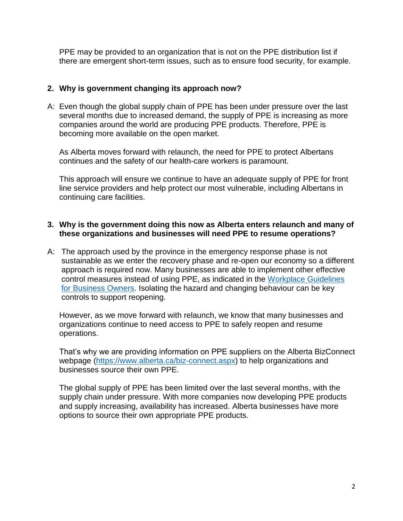PPE may be provided to an organization that is not on the PPE distribution list if there are emergent short-term issues, such as to ensure food security, for example.

# **2. Why is government changing its approach now?**

A: Even though the global supply chain of PPE has been under pressure over the last several months due to increased demand, the supply of PPE is increasing as more companies around the world are producing PPE products. Therefore, PPE is becoming more available on the open market.

As Alberta moves forward with relaunch, the need for PPE to protect Albertans continues and the safety of our health-care workers is paramount.

This approach will ensure we continue to have an adequate supply of PPE for front line service providers and help protect our most vulnerable, including Albertans in continuing care facilities.

#### **3. Why is the government doing this now as Alberta enters relaunch and many of these organizations and businesses will need PPE to resume operations?**

A: The approach used by the province in the emergency response phase is not sustainable as we enter the recovery phase and re-open our economy so a different approach is required now. Many businesses are able to implement other effective control measures instead of using PPE, as indicated in the [Workplace Guidelines](https://www.alberta.ca/assets/documents/covid-19-workplace-guidance-for-business-owners.pdf)  [for Business Owners.](https://www.alberta.ca/assets/documents/covid-19-workplace-guidance-for-business-owners.pdf) Isolating the hazard and changing behaviour can be key controls to support reopening.

However, as we move forward with relaunch, we know that many businesses and organizations continue to need access to PPE to safely reopen and resume operations.

That's why we are providing information on PPE suppliers on the Alberta BizConnect webpage [\(https://www.alberta.ca/biz-connect.aspx\)](https://www.alberta.ca/biz-connect.aspx) to help organizations and businesses source their own PPE.

The global supply of PPE has been limited over the last several months, with the supply chain under pressure. With more companies now developing PPE products and supply increasing, availability has increased. Alberta businesses have more options to source their own appropriate PPE products.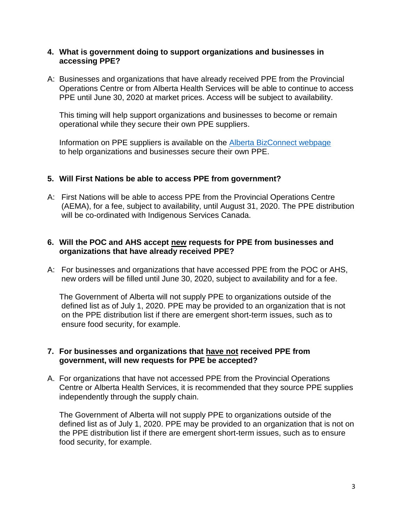#### **4. What is government doing to support organizations and businesses in accessing PPE?**

A: Businesses and organizations that have already received PPE from the Provincial Operations Centre or from Alberta Health Services will be able to continue to access PPE until June 30, 2020 at market prices. Access will be subject to availability.

This timing will help support organizations and businesses to become or remain operational while they secure their own PPE suppliers.

Information on PPE suppliers is available on the [Alberta BizConnect webpage](https://www.alberta.ca/biz-connect.aspx) to help organizations and businesses secure their own PPE.

# **5. Will First Nations be able to access PPE from government?**

A: First Nations will be able to access PPE from the Provincial Operations Centre (AEMA), for a fee, subject to availability, until August 31, 2020. The PPE distribution will be co-ordinated with Indigenous Services Canada.

# **6. Will the POC and AHS accept new requests for PPE from businesses and organizations that have already received PPE?**

A: For businesses and organizations that have accessed PPE from the POC or AHS, new orders will be filled until June 30, 2020, subject to availability and for a fee.

The Government of Alberta will not supply PPE to organizations outside of the defined list as of July 1, 2020. PPE may be provided to an organization that is not on the PPE distribution list if there are emergent short-term issues, such as to ensure food security, for example.

# **7. For businesses and organizations that have not received PPE from government, will new requests for PPE be accepted?**

A. For organizations that have not accessed PPE from the Provincial Operations Centre or Alberta Health Services, it is recommended that they source PPE supplies independently through the supply chain.

The Government of Alberta will not supply PPE to organizations outside of the defined list as of July 1, 2020. PPE may be provided to an organization that is not on the PPE distribution list if there are emergent short-term issues, such as to ensure food security, for example.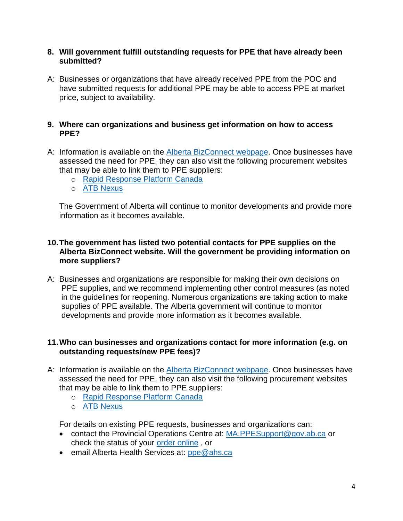### **8. Will government fulfill outstanding requests for PPE that have already been submitted?**

A: Businesses or organizations that have already received PPE from the POC and have submitted requests for additional PPE may be able to access PPE at market price, subject to availability.

# **9. Where can organizations and business get information on how to access PPE?**

- A: Information is available on the [Alberta BizConnect webpage.](https://www.alberta.ca/biz-connect.aspx) Once businesses have assessed the need for PPE, they can also visit the following procurement websites that may be able to link them to PPE suppliers:
	- o [Rapid Response Platform Canada](https://www.rrpcanada.org/#/)
	- o [ATB Nexus](https://nexus.atb.com/products/list/)

The Government of Alberta will continue to monitor developments and provide more information as it becomes available.

# **10.The government has listed two potential contacts for PPE supplies on the Alberta BizConnect website. Will the government be providing information on more suppliers?**

A: Businesses and organizations are responsible for making their own decisions on PPE supplies, and we recommend implementing other control measures (as noted in the guidelines for reopening. Numerous organizations are taking action to make supplies of PPE available. The Alberta government will continue to monitor developments and provide more information as it becomes available.

# **11.Who can businesses and organizations contact for more information (e.g. on outstanding requests/new PPE fees)?**

- A: Information is available on the [Alberta BizConnect webpage.](https://www.alberta.ca/biz-connect.aspx) Once businesses have assessed the need for PPE, they can also visit the following procurement websites that may be able to link them to PPE suppliers:
	- o [Rapid Response Platform Canada](https://www.rrpcanada.org/#/)
	- o [ATB Nexus](https://nexus.atb.com/products/list/)

For details on existing PPE requests, businesses and organizations can:

- contact the Provincial Operations Centre at: [MA.PPESupport@gov.ab.ca](mailto:MA.PPESupport@gov.ab.ca) or check the status of your [order online](https://xnet.gov.ab.ca/ppe/order-status), or
- email Alberta Health Services at: [ppe@ahs.ca](mailto:ppe@ahs.ca)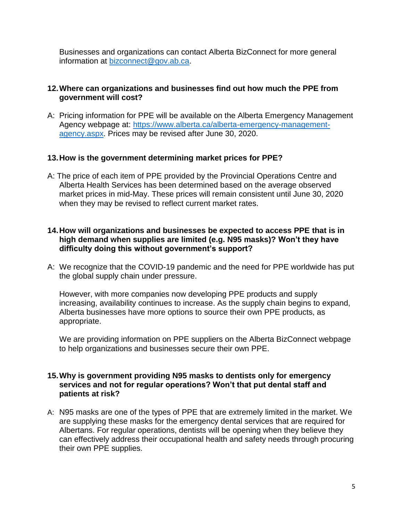Businesses and organizations can contact Alberta BizConnect for more general information at [bizconnect@gov.ab.ca.](mailto:bizconnect@gov.ab.ca)

# **12.Where can organizations and businesses find out how much the PPE from government will cost?**

A: Pricing information for PPE will be available on the Alberta Emergency Management Agency webpage at: [https://www.alberta.ca/alberta-emergency-management](https://www.alberta.ca/alberta-emergency-management-agency.aspx)[agency.aspx.](https://www.alberta.ca/alberta-emergency-management-agency.aspx) Prices may be revised after June 30, 2020.

# **13.How is the government determining market prices for PPE?**

A: The price of each item of PPE provided by the Provincial Operations Centre and Alberta Health Services has been determined based on the average observed market prices in mid-May. These prices will remain consistent until June 30, 2020 when they may be revised to reflect current market rates.

# **14.How will organizations and businesses be expected to access PPE that is in high demand when supplies are limited (e.g. N95 masks)? Won't they have difficulty doing this without government's support?**

A: We recognize that the COVID-19 pandemic and the need for PPE worldwide has put the global supply chain under pressure.

However, with more companies now developing PPE products and supply increasing, availability continues to increase. As the supply chain begins to expand, Alberta businesses have more options to source their own PPE products, as appropriate.

We are providing information on PPE suppliers on the Alberta BizConnect webpage to help organizations and businesses secure their own PPE.

# **15.Why is government providing N95 masks to dentists only for emergency services and not for regular operations? Won't that put dental staff and patients at risk?**

A: N95 masks are one of the types of PPE that are extremely limited in the market. We are supplying these masks for the emergency dental services that are required for Albertans. For regular operations, dentists will be opening when they believe they can effectively address their occupational health and safety needs through procuring their own PPE supplies.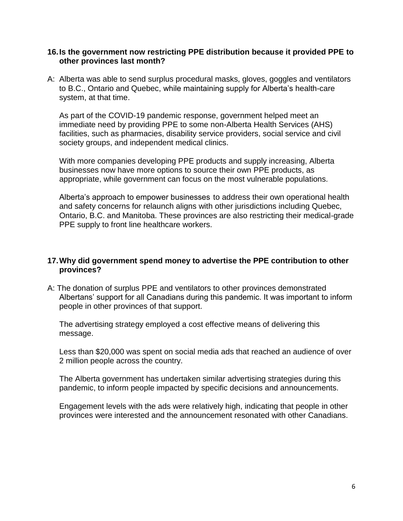#### **16.Is the government now restricting PPE distribution because it provided PPE to other provinces last month?**

A: Alberta was able to send surplus procedural masks, gloves, goggles and ventilators to B.C., Ontario and Quebec, while maintaining supply for Alberta's health-care system, at that time.

As part of the COVID-19 pandemic response, government helped meet an immediate need by providing PPE to some non-Alberta Health Services (AHS) facilities, such as pharmacies, disability service providers, social service and civil society groups, and independent medical clinics.

With more companies developing PPE products and supply increasing, Alberta businesses now have more options to source their own PPE products, as appropriate, while government can focus on the most vulnerable populations.

Alberta's approach to empower businesses to address their own operational health and safety concerns for relaunch aligns with other jurisdictions including Quebec, Ontario, B.C. and Manitoba. These provinces are also restricting their medical-grade PPE supply to front line healthcare workers.

#### **17.Why did government spend money to advertise the PPE contribution to other provinces?**

A: The donation of surplus PPE and ventilators to other provinces demonstrated Albertans' support for all Canadians during this pandemic. It was important to inform people in other provinces of that support.

The advertising strategy employed a cost effective means of delivering this message.

Less than \$20,000 was spent on social media ads that reached an audience of over 2 million people across the country.

The Alberta government has undertaken similar advertising strategies during this pandemic, to inform people impacted by specific decisions and announcements.

Engagement levels with the ads were relatively high, indicating that people in other provinces were interested and the announcement resonated with other Canadians.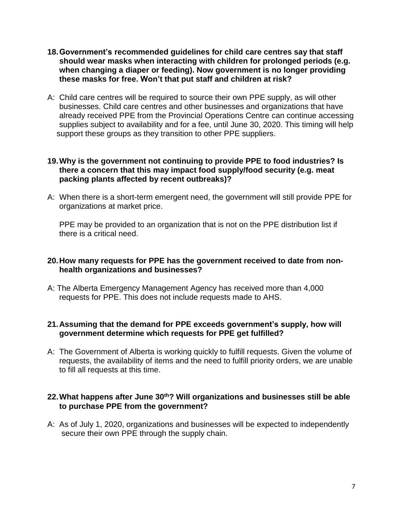- **18.Government's recommended guidelines for child care centres say that staff should wear masks when interacting with children for prolonged periods (e.g. when changing a diaper or feeding). Now government is no longer providing these masks for free. Won't that put staff and children at risk?**
- A: Child care centres will be required to source their own PPE supply, as will other businesses. Child care centres and other businesses and organizations that have already received PPE from the Provincial Operations Centre can continue accessing supplies subject to availability and for a fee, until June 30, 2020. This timing will help support these groups as they transition to other PPE suppliers.

#### **19.Why is the government not continuing to provide PPE to food industries? Is there a concern that this may impact food supply/food security (e.g. meat packing plants affected by recent outbreaks)?**

A: When there is a short-term emergent need, the government will still provide PPE for organizations at market price.

PPE may be provided to an organization that is not on the PPE distribution list if there is a critical need.

#### **20.How many requests for PPE has the government received to date from nonhealth organizations and businesses?**

A: The Alberta Emergency Management Agency has received more than 4,000 requests for PPE. This does not include requests made to AHS.

# **21.Assuming that the demand for PPE exceeds government's supply, how will government determine which requests for PPE get fulfilled?**

A: The Government of Alberta is working quickly to fulfill requests. Given the volume of requests, the availability of items and the need to fulfill priority orders, we are unable to fill all requests at this time.

# **22.What happens after June 30th? Will organizations and businesses still be able to purchase PPE from the government?**

A: As of July 1, 2020, organizations and businesses will be expected to independently secure their own PPE through the supply chain.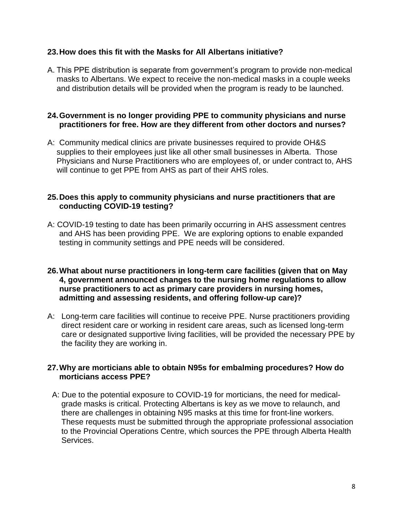# **23.How does this fit with the Masks for All Albertans initiative?**

A. This PPE distribution is separate from government's program to provide non-medical masks to Albertans. We expect to receive the non-medical masks in a couple weeks and distribution details will be provided when the program is ready to be launched.

# **24.Government is no longer providing PPE to community physicians and nurse practitioners for free. How are they different from other doctors and nurses?**

A: Community medical clinics are private businesses required to provide OH&S supplies to their employees just like all other small businesses in Alberta. Those Physicians and Nurse Practitioners who are employees of, or under contract to, AHS will continue to get PPE from AHS as part of their AHS roles.

# **25.Does this apply to community physicians and nurse practitioners that are conducting COVID-19 testing?**

A: COVID-19 testing to date has been primarily occurring in AHS assessment centres and AHS has been providing PPE. We are exploring options to enable expanded testing in community settings and PPE needs will be considered.

#### **26.What about nurse practitioners in long-term care facilities (given that on May 4, government announced changes to the nursing home regulations to allow nurse practitioners to act as primary care providers in nursing homes, admitting and assessing residents, and offering follow-up care)?**

A: Long-term care facilities will continue to receive PPE. Nurse practitioners providing direct resident care or working in resident care areas, such as licensed long-term care or designated supportive living facilities, will be provided the necessary PPE by the facility they are working in.

# **27.Why are morticians able to obtain N95s for embalming procedures? How do morticians access PPE?**

A: Due to the potential exposure to COVID-19 for morticians, the need for medicalgrade masks is critical. Protecting Albertans is key as we move to relaunch, and there are challenges in obtaining N95 masks at this time for front-line workers. These requests must be submitted through the appropriate professional association to the Provincial Operations Centre, which sources the PPE through Alberta Health Services.